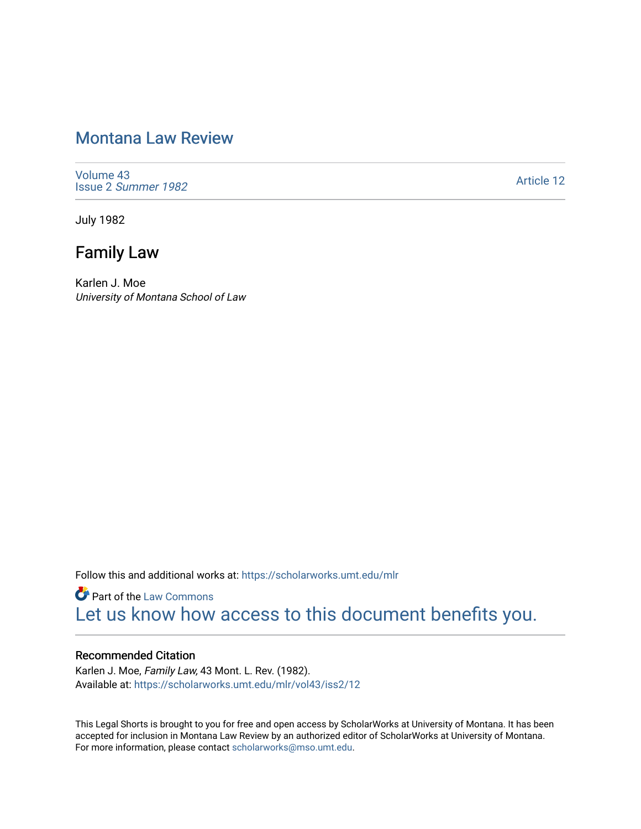# [Montana Law Review](https://scholarworks.umt.edu/mlr)

[Volume 43](https://scholarworks.umt.edu/mlr/vol43) Issue 2 [Summer 1982](https://scholarworks.umt.edu/mlr/vol43/iss2) 

[Article 12](https://scholarworks.umt.edu/mlr/vol43/iss2/12) 

July 1982

# Family Law

Karlen J. Moe University of Montana School of Law

Follow this and additional works at: [https://scholarworks.umt.edu/mlr](https://scholarworks.umt.edu/mlr?utm_source=scholarworks.umt.edu%2Fmlr%2Fvol43%2Fiss2%2F12&utm_medium=PDF&utm_campaign=PDFCoverPages) 

**Part of the [Law Commons](http://network.bepress.com/hgg/discipline/578?utm_source=scholarworks.umt.edu%2Fmlr%2Fvol43%2Fiss2%2F12&utm_medium=PDF&utm_campaign=PDFCoverPages)** [Let us know how access to this document benefits you.](https://goo.gl/forms/s2rGfXOLzz71qgsB2) 

## Recommended Citation

Karlen J. Moe, Family Law, 43 Mont. L. Rev. (1982). Available at: [https://scholarworks.umt.edu/mlr/vol43/iss2/12](https://scholarworks.umt.edu/mlr/vol43/iss2/12?utm_source=scholarworks.umt.edu%2Fmlr%2Fvol43%2Fiss2%2F12&utm_medium=PDF&utm_campaign=PDFCoverPages)

This Legal Shorts is brought to you for free and open access by ScholarWorks at University of Montana. It has been accepted for inclusion in Montana Law Review by an authorized editor of ScholarWorks at University of Montana. For more information, please contact [scholarworks@mso.umt.edu.](mailto:scholarworks@mso.umt.edu)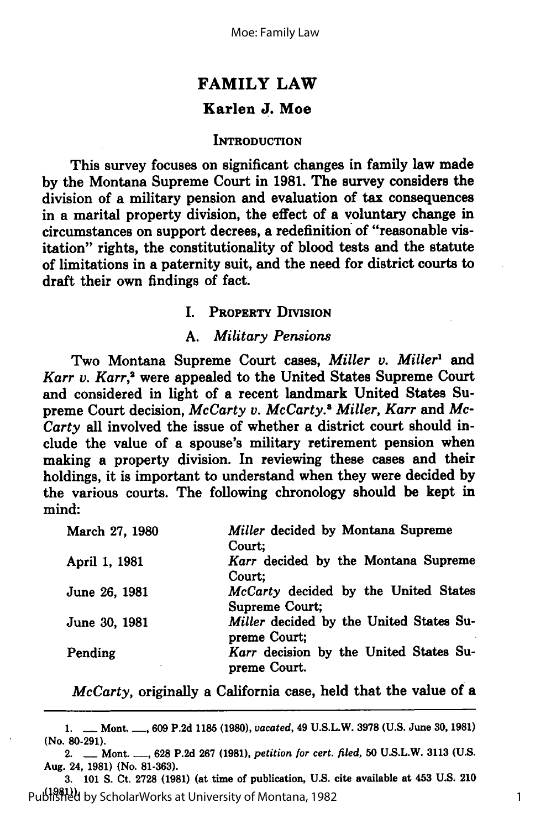## **FAMILY LAW Karlen J. Moe**

#### **INTRODUCTION**

This survey focuses on significant changes in family law made **by** the Montana Supreme Court in **1981.** The survey considers the division of a military pension and evaluation of tax consequences in a marital property division, the effect of a voluntary change in circumstances on support decrees, a redefinition of "reasonable visitation" rights, the constitutionality of blood tests and the statute of limitations in a paternity suit, and the need for district courts to draft their own findings of fact.

## **I. PROPERTY DIVISION**

#### *A. Military Pensions*

Two Montana Supreme Court cases, *Miller v. Miller'* and *Karr v. Karr,'* were appealed to the United States Supreme Court and considered in light of a recent landmark United States Supreme Court decision, *McCarty v. McCarty.8 Miller, Karr and Mc-Carty* all involved the issue of whether a district court should in**clude** the value of a spouse's military retirement pension when making a property division. In reviewing these cases and their holdings, it is important to understand when they were decided **by** the various courts. The following chronology should be kept in mind:

| March 27, 1980 | Miller decided by Montana Supreme                       |
|----------------|---------------------------------------------------------|
|                | Court;                                                  |
| April 1, 1981  | Karr decided by the Montana Supreme<br>Court;           |
| June 26, 1981  | McCarty decided by the United States<br>Supreme Court;  |
| June 30, 1981  | Miller decided by the United States Su-<br>preme Court; |
| Pending        | Karr decision by the United States Su-<br>preme Court.  |

*McCarty,* originally a California case, held that the value of a

**<sup>1.</sup> -** Mont. **-, 609 P.2d 1185 (1980),** *vacated,* 49 **U.S.L.W. 3978 (U.S.** June **30, 1981)** (No. **80-291).**

<sup>2.</sup> **-** Mont. **-, 628 P.2d 267 (1981),** *petition for cert. filed,* **50 U.S.L.W. 3113 (U.S.** Aug. 24, **1981)** (No. **81-363).**

**<sup>3. 101</sup> S.** Ct. **2728 (1981)** (at time of publication, **U.S.** cite available at 453 **U.S.** 210 **(1981)).** 1 Published by ScholarWorks at University of Montana, 1982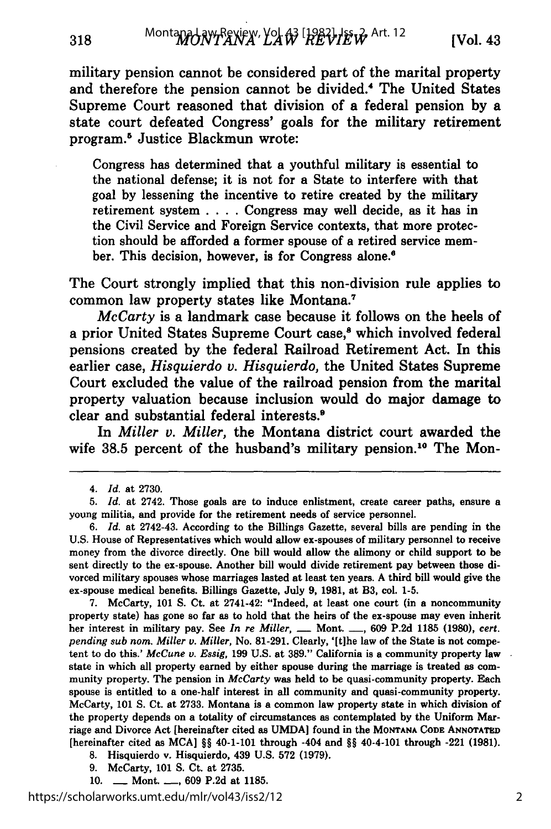military pension cannot be considered part of the marital property and therefore the pension cannot be divided.' The United States Supreme Court reasoned that division of a federal pension **by** a state court defeated Congress' goals for the military retirement program.5 Justice Blackmun wrote:

Congress has determined that a youthful military is essential to the national defense; it is not for a State to interfere with that goal **by** lessening the incentive to retire created **by** the military retirement system **.. . .**Congress may well decide, as it has in the Civil Service and Foreign Service contexts, that more protection should be afforded a former spouse of a retired service member. This decision, however, is for Congress alone.'

The Court strongly implied that this non-division rule applies to common law property states like Montana.'

*McCarty* is a landmark case because it follows on the heels of a prior United States Supreme Court case,<sup>8</sup> which involved federal pensions created **by** the federal Railroad Retirement Act. In this earlier case, *Hisquierdo* **v.** *Hisquierdo,* the United States Supreme Court excluded the value of the railroad pension from the marital property valuation because inclusion would do major damage to clear and substantial federal interests.'

In *Miller v. Miller,* the Montana district court awarded the wife 38.5 percent of the husband's military pension.<sup>10</sup> The Mon-

**7.** McCarty, **101 S.** Ct. at 2741-42: "Indeed, at least one court (in a noncommunity property state) has gone so far as to hold that the heirs of the ex-spouse may even inherit her interest in military pay. See *In re Miller,* **-** Mont. **-, 609 P.2d 1185 (1980), cert.** *pending sub nom. Miller v. Miller,* No. **81-291.** Clearly, '[t]he law of the State is not competent to do this.' *McCune v. Essig,* **199 U.S.** at **389."** California is a community property law state in which all property earned **by** either spouse during the marriage is treated as community property. The pension in *McCarty* was held to be quasi-community property. Each spouse is entitled to a one-half interest in all community and quasi-community property. McCarty, **101 S.** Ct. at **2733.** Montana is a common law property state in which division of the property depends on a totality of circumstances as contemplated **by** the Uniform Marriage and Divorce Act [hereinafter cited as **UMDA** found in the **MONTANA CODE ANNOTATED** [hereinafter cited as **MCA]** §§ 40-1-101 through -404 and §§ 40-4-101 through -221 **(1981).**

**8.** Hisquierdo v. Hisquierdo, 439 **U.S. 572 (1979).**

- **9.** McCarty, **101 S.** Ct. at **2735.**
- **10. -** Mont. **-. 609 P.2d** at **1185.**

*<sup>4.</sup> Id.* at **2730.**

*<sup>5.</sup> Id.* at 2742. Those goals are to induce enlistment, create career paths, ensure a young militia, and provide for the retirement needs of service personnel.

**<sup>6.</sup>** *Id.* at 2742-43. According to the Billings Gazette, several bills are pending in the **U.S.** House of Representatives which would allow ex-spouses of military personnel to receive money from the divorce directly. One bill would allow the alimony or child support to be sent directly to the ex-spouse. Another bill would divide retirement pay between those divorced military spouses whose marriages lasted at least ten years. **A** third bill would give the ex-spouse medical benefits. Billings Gazette, July **9, 1981,** at B3, col. **1-5.**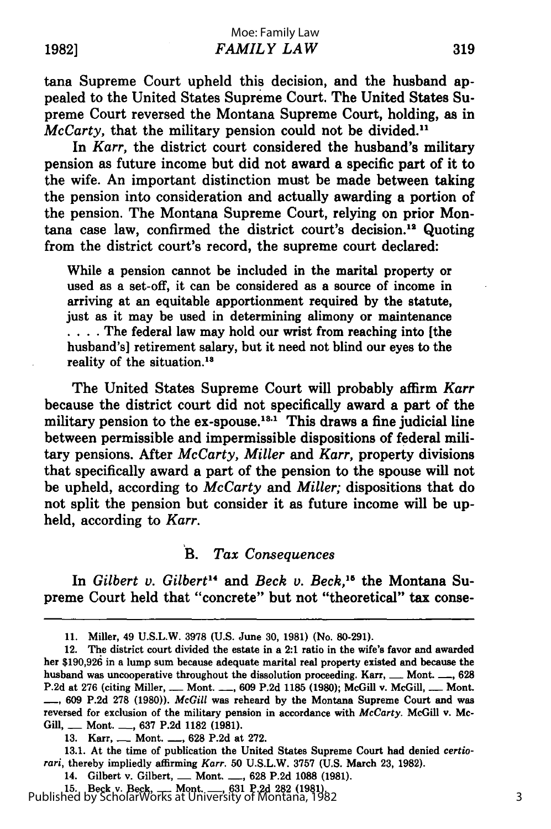tana Supreme Court upheld this decision, and the husband appealed to the United States Supreme Court. The United States Supreme Court reversed the Montana Supreme Court, holding, as in *McCarty*, that the military pension could not be divided.<sup>11</sup>

In *Karr,* the district court considered the husband's military pension as future income but did not award a specific part of it to the wife. An important distinction must be made between taking the pension into consideration and actually awarding a portion of the pension. The Montana Supreme Court, relying on prior Montana case law, confirmed the district court's decision." Quoting from the district court's record, the supreme court declared:

While a pension cannot be included in the marital property or used as a set-off, it can be considered as a source of income in arriving at an equitable apportionment required by the statute, just as it may be used in determining alimony or maintenance **....** The federal law may hold our wrist from reaching into [the husband's] retirement salary, but it need not blind our eyes to the reality of the situation.'

The United States Supreme Court will probably affirm *Karr* because the district court did not specifically award a part of the military pension to the  $ex\text{-}spouse.^{13.1}$  This draws a fine judicial line between permissible and impermissible dispositions of federal military pensions. After *McCarty, Miller and Karr,* property divisions that specifically award a part of the pension to the spouse will not be upheld, according to *McCarty and Miller;* dispositions that do not split the pension but consider it as future income will be upheld, according to *Karr.*

#### B. *Tax Consequences*

In *Gilbert v. Gilbert'4 and Beck v. Beck,"5* the Montana Supreme Court held that "concrete" but not "theoretical" tax conse-

**13.1.** At the time of publication the United States Supreme Court had denied *certiorari,* thereby impliedly affirming *Karr.* **50 U.S.L.W. 3757 (U.S.** March **23, 1982).**

14. Gilbert v. Gilbert, **-** Mont. **-, 628 P.2d 1088 (1981).**

**15.** Beck v. Beck, **-** Mont. **-, 631 P.2d 282 (1981).** Published by ScholarWorks at University of Montana, 1982

<sup>11.</sup> Miller, 49 U.S.L.W. 3978 (U.S. June 30, **1981)** (No. 80-291).

<sup>12.</sup> The district court divided the estate in a 2:1 ratio in the wife's favor and awarded her **\$190,926** in a lump sum because adequate marital real property existed and because the husband was uncooperative throughout the dissolution proceeding. Karr, **\_\_** Mont. **\_\_**, 628 **P.2d** at **276** (citing Miller, **-** Mont. **-, 609 P.2d 1185 (1980);** McGill v. McGill, **-** Mont. **-, 609 P.2d 278 (1980)).** *McGill* was reheard **by** the Montana Supreme Court and was reversed for exclusion of the military pension in accordance with *McCarty.* McGill v. Mc-Gill, **-** Mont. **-, 637 P.2d 1182 (1981).**

<sup>13.</sup> **Karr, .... Mont. ..., 628 P.2d at 272.**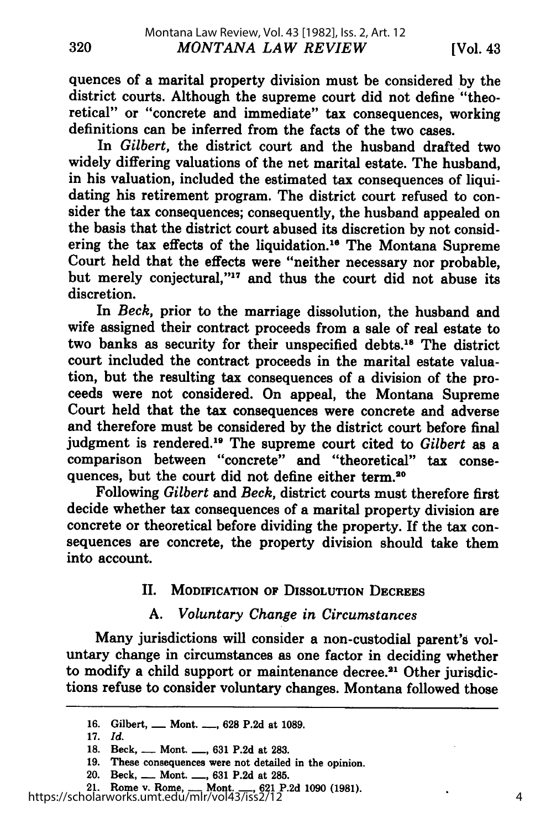quences of a marital property division must be considered by the district courts. Although the supreme court did not define "theoretical" or "concrete and immediate" tax consequences, working definitions can be inferred from the facts of the two cases.

In *Gilbert,* the district court and the husband drafted two widely differing valuations of the net marital estate. The husband, in his valuation, included the estimated tax consequences of liquidating his retirement program. The district court refused to consider the tax consequences; consequently, the husband appealed on the basis that the district court abused its discretion **by** not considering the tax effects of the liquidation. 16 The Montana Supreme Court held that the effects were "neither necessary nor probable, but merely conjectural,"<sup>17</sup> and thus the court did not abuse its discretion.

In *Beck,* prior to the marriage dissolution, the husband and wife assigned their contract proceeds from a sale of real estate to two banks as security for their unspecified debts."8 The district court included the contract proceeds in the marital estate valuation, but the resulting tax consequences of a division of the proceeds were not considered. On appeal, the Montana Supreme Court held that the tax consequences were concrete and adverse and therefore must be considered **by** the district court before final judgment is rendered.'9 The supreme court cited to *Gilbert* as a comparison between "concrete" and "theoretical" tax consequences, but the court did not define either **term.20**

Following *Gilbert and Beck,* district courts must therefore first decide whether tax consequences of a marital property division are concrete or theoretical before dividing the property. If the tax consequences are concrete, the property division should take them into account.

## II. MODIFICATION OF DISSOLUTION **DECREES**

## **A.** *Voluntary Change in Circumstances*

Many jurisdictions will consider a non-custodial parent's voluntary change in circumstances as one factor in deciding whether to modify a child support or maintenance decree.<sup>21</sup> Other jurisdictions refuse to consider voluntary changes. Montana followed those

**<sup>16.</sup>** Gilbert, **-** Mont. **-, 628 P.2d** at **1089.**

**<sup>17.</sup>** *Id.*

**<sup>18.</sup>** Beck, **-** Mont. **-, 631 P.2d** at **283.**

**<sup>19.</sup>** These consequences were not detailed in the opinion.

<sup>20.</sup> Beck, **-** Mont. **-, 631 P.2d** at **285.**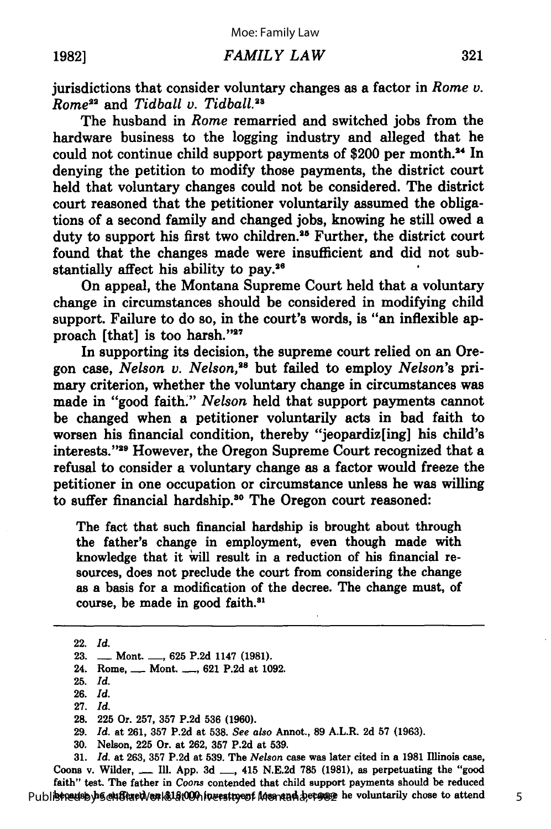jurisdictions that consider voluntary changes as a factor in *Rome v. Rome<sup>22</sup>* and *Tidball v. Tidball.*<sup>23</sup>

The husband in *Rome* remarried and switched jobs from the hardware business to the logging industry and alleged that he could not continue child support payments of \$200 per month.<sup>24</sup> In denying the petition to modify those payments, the district court held that voluntary changes could not be considered. The district court reasoned that the petitioner voluntarily assumed the obligations of a second family and changed jobs, knowing he still owed a duty to support his first two children.<sup>25</sup> Further, the district court found that the changes made were insufficient and did not substantially affect his ability to pay.<sup>26</sup>

On appeal, the Montana Supreme Court held that a voluntary change in circumstances should be considered in modifying child support. Failure to do so, in the court's words, is "an inflexible approach [that] is too harsh."27

In supporting its decision, the supreme court relied on an Oregon case, *Nelson v. Nelson,28* but failed to employ *Nelson's* primary criterion, whether the voluntary change in circumstances was made in "good faith." *Nelson* held that support payments cannot be changed when a petitioner voluntarily acts in bad faith to worsen his financial condition, thereby "jeopardiz[ing] his child's interests."<sup>29</sup> However, the Oregon Supreme Court recognized that a refusal to consider a voluntary change as a factor would freeze the petitioner in one occupation or circumstance unless he was willing to suffer financial hardship.<sup>30</sup> The Oregon court reasoned:

The fact that such financial hardship is brought about through the father's change in employment, even though made with knowledge that it **'vill** result in a reduction of his financial resources, does not preclude the court from considering the change as a basis for a modification of the decree. The change must, of course, be made in good faith."1

- 24. Rome, **-** Mont. **-, 621 P.2d** at **1092.**
- **25.** *Id.*
- **26.** Id. **27.** *Id.*
- **28. 225** Or. **257, 357 P.2d 536 (1960).**
- **29.** *Id.* at **261, 357 P.2d** at **538.** *See also* Annot., **89** A.L.R. **2d 57 (1963).**
- **30.** Nelson, **225** Or. at **262, 357 P.2d** at **539.**

**31.** *Id.* at **263, 357 P.2d** at **539.** The *Nelson* case was later cited in a **1981** Illinois case, Coons v. Wilder, **-** Ill. **App. 3d -,** 415 **N.E.2d 785 (1981),** as perpetuating the "good faith" test. The father in *Coons* contended that child support payments should be reduced Publistredsbyh Schlitzet Non & 18:00 hinvestment Montan betause he voluntarily chose to attend

<sup>22.</sup> Id.

**<sup>23.</sup> -** Mont. **-, 625 P.2d** 1147 **(1981).**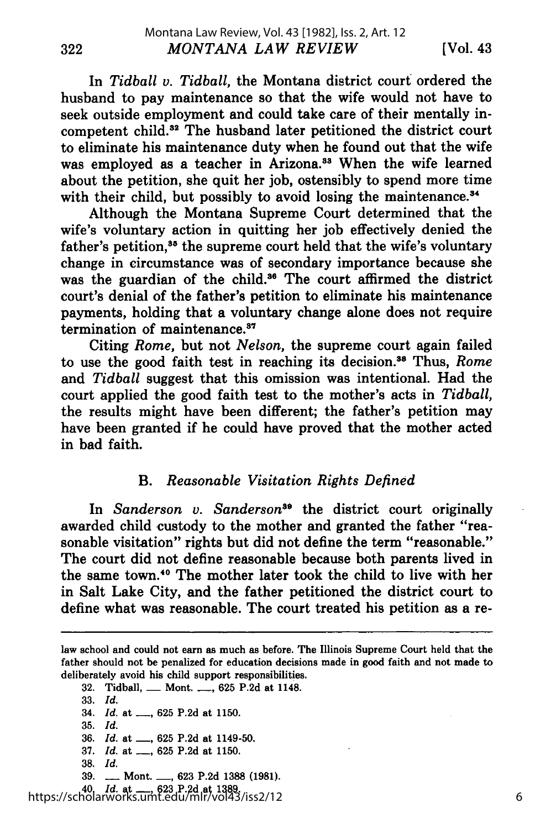In *Tidball v. Tidbal,* the Montana district court ordered the husband to pay maintenance so that the wife would not have to seek outside employment and could take care of their mentally incompetent child.82 The husband later petitioned the district court to eliminate his maintenance duty when he found out that the wife was employed as a teacher in Arizona.<sup>33</sup> When the wife learned about the petition, she quit her job, ostensibly to spend more time with their child, but possibly to avoid losing the maintenance.<sup>34</sup>

Although the Montana Supreme Court determined that the wife's voluntary action in quitting her job effectively denied the father's petition,<sup>35</sup> the supreme court held that the wife's voluntary change in circumstance was of secondary importance because she was the guardian of the child.<sup>36</sup> The court affirmed the district court's denial of the father's petition to eliminate his maintenance payments, holding that a voluntary change alone does not require termination of maintenance.<sup>37</sup>

Citing *Rome,* but not *Nelson,* the supreme court again failed to use the good faith test in reaching its decision.<sup>38</sup> Thus, *Rome* and *Tidball* suggest that this omission was intentional. Had the court applied the good faith test to the mother's acts in *Tidball,* the results might have been different; the father's petition may have been granted if he could have proved that the mother acted in bad faith.

## B. *Reasonable Visitation Rights Defined*

In *Sanderson v. Sanderson"9* the district court originally awarded child custody to the mother and granted the father "reasonable visitation" rights but did not define the term "reasonable." The court did not define reasonable because both parents lived in the same town.40 The mother later took the child to live with her in Salt Lake City, and the father petitioned the district court to define what was reasonable. The court treated his petition as a re-

- 32. Tidball, **-** Mont. **-,** 625 P.2d at 1148.
- 33. *Id.*
- 34. *Id.* at ..., 625 P.2d at 1150.
- 35. *Id.*
- 36. *Id.* at <sub>-,</sub> 625 P.2d at 1149-50.
- 37. *Id.* at \_\_, 625 P.2d at 1150.
- **38.** *Id.*
- 39. **-** Mont. **-,** 623 P.2d 1388 (1981).

40. *Id.* at **-,** 623 P.2d at 1389. https://scholarworks.umt.edu/mlr/vol43/iss2/12

law school and could not earn as much as before. The Illinois Supreme Court held that the father should not be penalized for education decisions made in good faith and not made to deliberately avoid his child support responsibilities.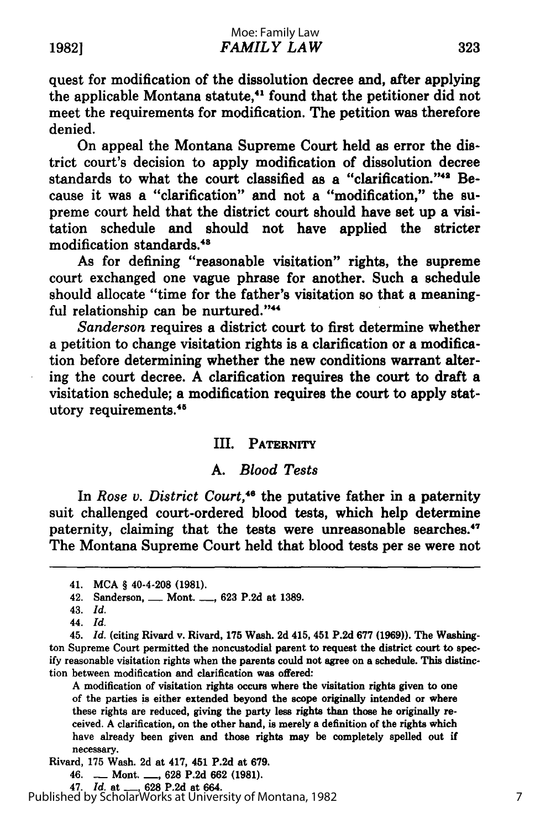quest for modification of the dissolution decree and, after applying the applicable Montana statute,<sup>41</sup> found that the petitioner did not meet the requirements for modification. The petition was therefore denied.

On appeal the Montana Supreme Court held as error the district court's decision to apply modification of dissolution decree standards to what the court classified as a "clarification."<sup>42</sup> Because it was a "clarification" and not a "modification," the supreme court held that the district court should have set up a visitation schedule and should not have applied the stricter modification standards.<sup>48</sup>

As for defining "reasonable visitation" rights, the supreme court exchanged one vague phrase for another. Such a schedule should allocate "time for the father's visitation so that a meaningful relationship can be nurtured."

*Sanderson* requires a district court to first determine whether a petition to change visitation rights is a clarification or a modification before determining whether the new conditions warrant altering the court decree. **A** clarification requires the court to draft a visitation schedule; a modification requires the court to apply statutory requirements.<sup>45</sup>

#### III. PATERNITY

## **A.** *Blood Tests*

In *Rose v. District Court*,<sup>46</sup> the putative father in a paternity suit challenged court-ordered blood tests, which help determine paternity, claiming that the tests were unreasonable searches.<sup>47</sup> The Montana Supreme Court held that blood tests per se were not

**A** modification of visitation rights occurs where the visitation rights given to one of the parties is either extended beyond the scope originally intended or where these rights are reduced, giving the party less rights than those he originally received. **A** clarification, on the other hand, is merely a definition of the rights which have already been given and those rights may be completely spelled out if necessary.

Rivard, **175** Wash. **2d** at 417, 451 **P.2d** at **679.**

47. *Id.* at **-, 628 P.2d** at 664.

Published by ScholarWorks at University of Montana, 1982

<sup>41.</sup> **MCA** § 40-4-208 **(1981).**

<sup>42.</sup> Sanderson, **-** Mont. **-, 623 P.2d** at **1389.**

<sup>43.</sup> *Id.*

<sup>44.</sup> *Id.*

<sup>45.</sup> *Id.* (citing Rivard v. Rivard, **175** Wash. **2d** 415, 451 **P.2d 677 (1969)).** The Washington Supreme Court permitted the noncustodial parent to request the district court to spec**ify** reasonable visitation rights when the parents could not agree on a schedule. This distinction between modification and clarification was offered:

<sup>46.</sup> **-** Mont. **-, 628 P.2d 662 (1981).**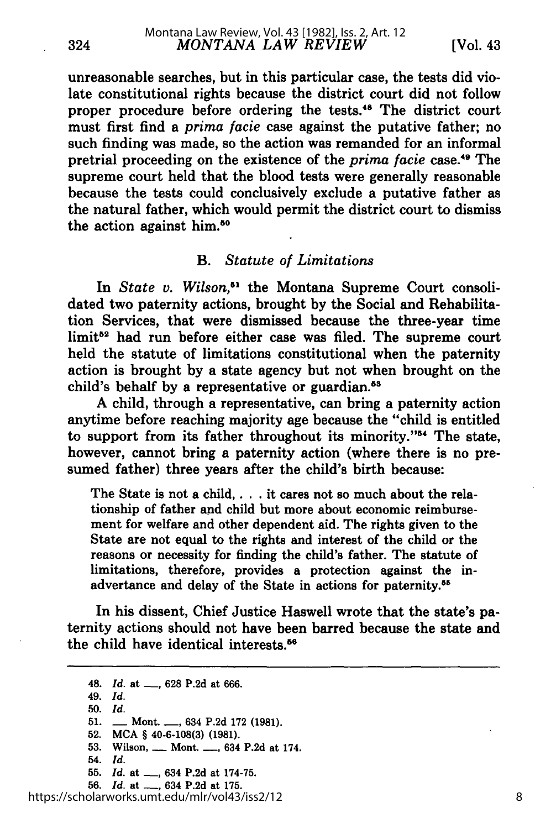unreasonable searches, but in this particular case, the tests did violate constitutional rights because the district court did not follow proper procedure before ordering the tests.<sup>48</sup> The district court must first find a *prima facie* case against the putative father; no such finding was made, so the action was remanded for an informal pretrial proceeding on the existence of the *prima facie* case.<sup>49</sup> The supreme court held that the blood tests were generally reasonable because the tests could conclusively exclude a putative father as the natural father, which would permit the district court to dismiss the action against him.50

## *B. Statute of Limitations*

In *State v. Wilson,"* the Montana Supreme Court consolidated two paternity actions, brought by the Social and Rehabilitation Services, that were dismissed because the three-year time limit<sup>52</sup> had run before either case was filed. The supreme court held the statute of limitations constitutional when the paternity action is brought by a state agency but not when brought on the child's behalf by a representative or guardian.<sup>83</sup>

A child, through a representative, can bring a paternity action anytime before reaching majority age because the "child is entitled to support from its father throughout its minority."<sup>54</sup> The state, however, cannot bring a paternity action (where there is no presumed father) three years after the child's birth because:

The State is not a child,. **. .** it cares not so much about the relationship of father and child but more about economic reimbursement for welfare and other dependent aid. The rights given to the State are not equal to the rights and interest of the child or the reasons or necessity for finding the child's father. The statute of limitations, therefore, provides a protection against the inadvertance and delay of the State in actions for paternity. <sup>55</sup>

In his dissent, Chief Justice Haswell wrote that the state's paternity actions should not have been barred because the state and the child have identical interests.<sup>56</sup>

324

54. *Id.*

**56.** *Id.* at **-,** 634 **P.2d** at **175.**

<sup>48.</sup> *Id.* at **-, 628** P.2d at 666.

<sup>49.</sup> *Id.*

<sup>50.</sup> *Id.*

<sup>51.</sup> **-** Mont. **-,** 634 P.2d 172 (1981).

**<sup>52.</sup> MCA** § **40-6-108(3) (1981).**

**<sup>53.</sup>** Wilson, **-** Mont. **-,** 634 **P.2d** at 174.

**<sup>55.</sup>** *Id.* at **-,** 634 **P.2d** at **174-75.**